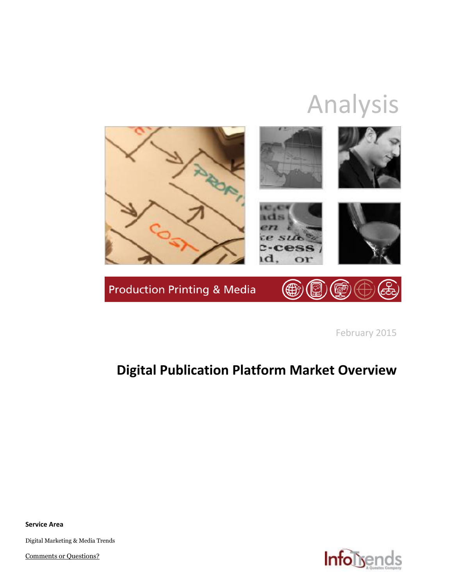# Analysis



February 2015

## **Digital Publication Platform Market Overview**

**Service Area**

Digital Marketing & Media Trends

[Comments or Questions?](mailto:marketing@infotrends.com)

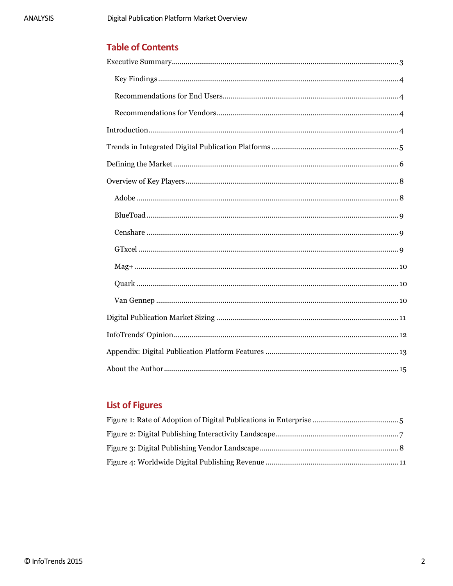### **Table of Contents**

## **List of Figures**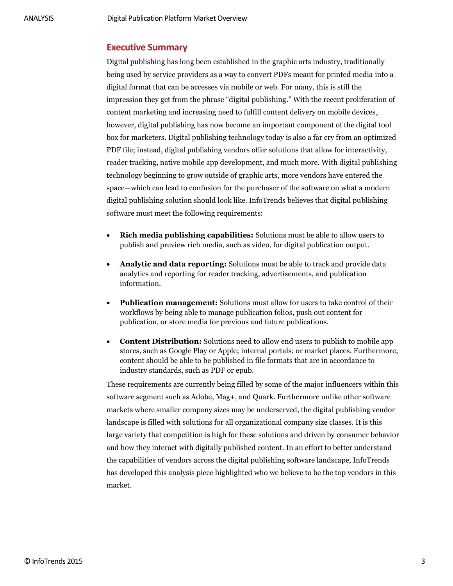#### <span id="page-2-0"></span>**Executive Summary**

Digital publishing has long been established in the graphic arts industry, traditionally being used by service providers as a way to convert PDFs meant for printed media into a digital format that can be accesses via mobile or web. For many, this is still the impression they get from the phrase "digital publishing." With the recent proliferation of content marketing and increasing need to fulfill content delivery on mobile devices, however, digital publishing has now become an important component of the digital tool box for marketers. Digital publishing technology today is also a far cry from an optimized PDF file; instead, digital publishing vendors offer solutions that allow for interactivity, reader tracking, native mobile app development, and much more. With digital publishing technology beginning to grow outside of graphic arts, more vendors have entered the space—which can lead to confusion for the purchaser of the software on what a modern digital publishing solution should look like. InfoTrends believes that digital publishing software must meet the following requirements:

- **Rich media publishing capabilities:** Solutions must be able to allow users to publish and preview rich media, such as video, for digital publication output.
- **Analytic and data reporting:** Solutions must be able to track and provide data analytics and reporting for reader tracking, advertisements, and publication information.
- **Publication management:** Solutions must allow for users to take control of their workflows by being able to manage publication folios, push out content for publication, or store media for previous and future publications.
- **Content Distribution:** Solutions need to allow end users to publish to mobile app stores, such as Google Play or Apple; internal portals; or market places. Furthermore, content should be able to be published in file formats that are in accordance to industry standards, such as PDF or epub.

These requirements are currently being filled by some of the major influencers within this software segment such as Adobe, Mag+, and Quark. Furthermore unlike other software markets where smaller company sizes may be underserved, the digital publishing vendor landscape is filled with solutions for all organizational company size classes. It is this large variety that competition is high for these solutions and driven by consumer behavior and how they interact with digitally published content. In an effort to better understand the capabilities of vendors across the digital publishing software landscape, InfoTrends has developed this analysis piece highlighted who we believe to be the top vendors in this market.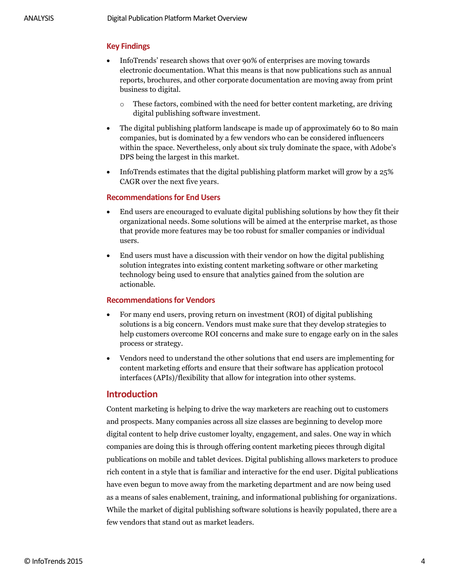#### <span id="page-3-0"></span>**Key Findings**

- InfoTrends' research shows that over 90% of enterprises are moving towards electronic documentation. What this means is that now publications such as annual reports, brochures, and other corporate documentation are moving away from print business to digital.
	- o These factors, combined with the need for better content marketing, are driving digital publishing software investment.
- The digital publishing platform landscape is made up of approximately 60 to 80 main companies, but is dominated by a few vendors who can be considered influencers within the space. Nevertheless, only about six truly dominate the space, with Adobe's DPS being the largest in this market.
- InfoTrends estimates that the digital publishing platform market will grow by a 25% CAGR over the next five years.

#### <span id="page-3-1"></span>**Recommendations for End Users**

- End users are encouraged to evaluate digital publishing solutions by how they fit their organizational needs. Some solutions will be aimed at the enterprise market, as those that provide more features may be too robust for smaller companies or individual users.
- End users must have a discussion with their vendor on how the digital publishing solution integrates into existing content marketing software or other marketing technology being used to ensure that analytics gained from the solution are actionable.

#### <span id="page-3-2"></span>**Recommendations for Vendors**

- For many end users, proving return on investment (ROI) of digital publishing solutions is a big concern. Vendors must make sure that they develop strategies to help customers overcome ROI concerns and make sure to engage early on in the sales process or strategy.
- Vendors need to understand the other solutions that end users are implementing for content marketing efforts and ensure that their software has application protocol interfaces (APIs)/flexibility that allow for integration into other systems.

#### <span id="page-3-3"></span>**Introduction**

Content marketing is helping to drive the way marketers are reaching out to customers and prospects. Many companies across all size classes are beginning to develop more digital content to help drive customer loyalty, engagement, and sales. One way in which companies are doing this is through offering content marketing pieces through digital publications on mobile and tablet devices. Digital publishing allows marketers to produce rich content in a style that is familiar and interactive for the end user. Digital publications have even begun to move away from the marketing department and are now being used as a means of sales enablement, training, and informational publishing for organizations. While the market of digital publishing software solutions is heavily populated, there are a few vendors that stand out as market leaders.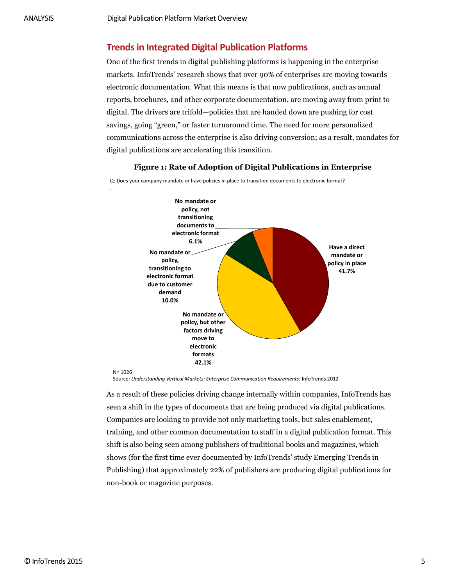.

#### <span id="page-4-0"></span>**Trends in Integrated Digital Publication Platforms**

One of the first trends in digital publishing platforms is happening in the enterprise markets. InfoTrends' research shows that over 90% of enterprises are moving towards electronic documentation. What this means is that now publications, such as annual reports, brochures, and other corporate documentation, are moving away from print to digital. The drivers are trifold—policies that are handed down are pushing for cost savings, going "green," or faster turnaround time. The need for more personalized communications across the enterprise is also driving conversion; as a result, mandates for digital publications are accelerating this transition.

<span id="page-4-1"></span>

**Figure 1: Rate of Adoption of Digital Publications in Enterprise**

Source: *Understanding Vertical Markets: Enterprise Communication Requirements*; InfoTrends 2012

As a result of these policies driving change internally within companies, InfoTrends has seen a shift in the types of documents that are being produced via digital publications. Companies are looking to provide not only marketing tools, but sales enablement, training, and other common documentation to staff in a digital publication format. This shift is also being seen among publishers of traditional books and magazines, which shows (for the first time ever documented by InfoTrends' study Emerging Trends in Publishing) that approximately 22% of publishers are producing digital publications for non-book or magazine purposes.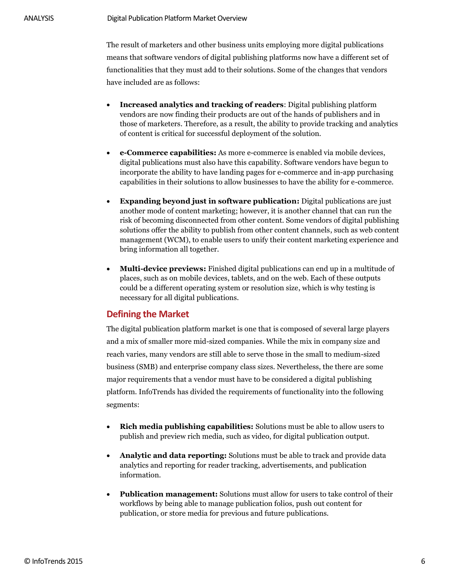The result of marketers and other business units employing more digital publications means that software vendors of digital publishing platforms now have a different set of functionalities that they must add to their solutions. Some of the changes that vendors have included are as follows:

- **Increased analytics and tracking of readers**: Digital publishing platform vendors are now finding their products are out of the hands of publishers and in those of marketers. Therefore, as a result, the ability to provide tracking and analytics of content is critical for successful deployment of the solution.
- **e-Commerce capabilities:** As more e-commerce is enabled via mobile devices, digital publications must also have this capability. Software vendors have begun to incorporate the ability to have landing pages for e-commerce and in-app purchasing capabilities in their solutions to allow businesses to have the ability for e-commerce.
- **Expanding beyond just in software publication:** Digital publications are just another mode of content marketing; however, it is another channel that can run the risk of becoming disconnected from other content. Some vendors of digital publishing solutions offer the ability to publish from other content channels, such as web content management (WCM), to enable users to unify their content marketing experience and bring information all together.
- **Multi-device previews:** Finished digital publications can end up in a multitude of places, such as on mobile devices, tablets, and on the web. Each of these outputs could be a different operating system or resolution size, which is why testing is necessary for all digital publications.

#### <span id="page-5-0"></span>**Defining the Market**

The digital publication platform market is one that is composed of several large players and a mix of smaller more mid-sized companies. While the mix in company size and reach varies, many vendors are still able to serve those in the small to medium-sized business (SMB) and enterprise company class sizes. Nevertheless, the there are some major requirements that a vendor must have to be considered a digital publishing platform. InfoTrends has divided the requirements of functionality into the following segments:

- **Rich media publishing capabilities:** Solutions must be able to allow users to publish and preview rich media, such as video, for digital publication output.
- **Analytic and data reporting:** Solutions must be able to track and provide data analytics and reporting for reader tracking, advertisements, and publication information.
- **Publication management:** Solutions must allow for users to take control of their workflows by being able to manage publication folios, push out content for publication, or store media for previous and future publications.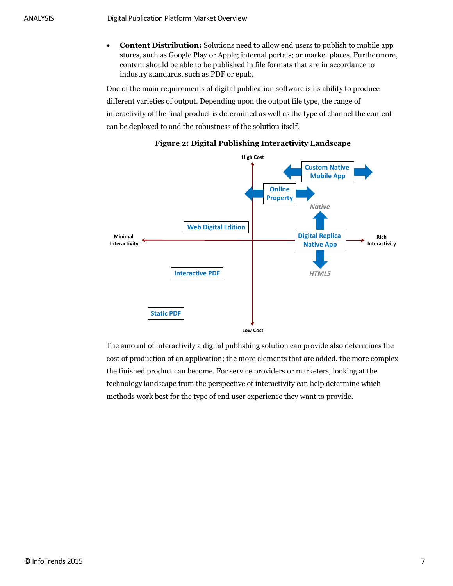**Content Distribution:** Solutions need to allow end users to publish to mobile app stores, such as Google Play or Apple; internal portals; or market places. Furthermore, content should be able to be published in file formats that are in accordance to industry standards, such as PDF or epub.

One of the main requirements of digital publication software is its ability to produce different varieties of output. Depending upon the output file type, the range of interactivity of the final product is determined as well as the type of channel the content can be deployed to and the robustness of the solution itself.

<span id="page-6-0"></span>

#### **Figure 2: Digital Publishing Interactivity Landscape**

The amount of interactivity a digital publishing solution can provide also determines the cost of production of an application; the more elements that are added, the more complex the finished product can become. For service providers or marketers, looking at the technology landscape from the perspective of interactivity can help determine which methods work best for the type of end user experience they want to provide.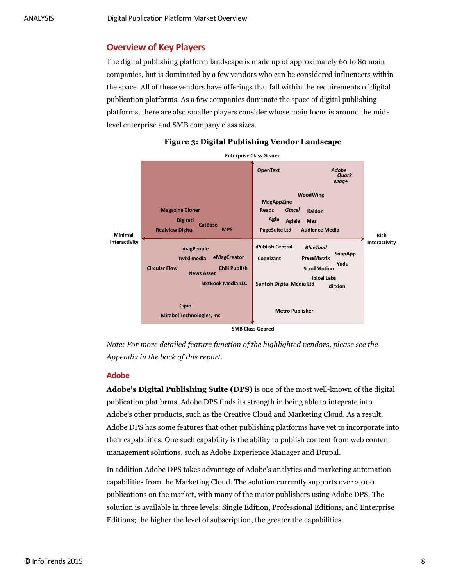#### <span id="page-7-0"></span>**Overview of Key Players**

The digital publishing platform landscape is made up of approximately 60 to 80 main companies, but is dominated by a few vendors who can be considered influencers within the space. All of these vendors have offerings that fall within the requirements of digital publication platforms. As a few companies dominate the space of digital publishing platforms, there are also smaller players consider whose main focus is around the midlevel enterprise and SMB company class sizes.

<span id="page-7-2"></span>

**Figure 3: Digital Publishing Vendor Landscape**

*Note: For more detailed feature function of the highlighted vendors, please see the Appendix in the back of this report.* 

#### <span id="page-7-1"></span>**Adobe**

**Adobe's Digital Publishing Suite (DPS)** is one of the most well-known of the digital publication platforms. Adobe DPS finds its strength in being able to integrate into Adobe's other products, such as the Creative Cloud and Marketing Cloud. As a result, Adobe DPS has some features that other publishing platforms have yet to incorporate into their capabilities. One such capability is the ability to publish content from web content management solutions, such as Adobe Experience Manager and Drupal.

In addition Adobe DPS takes advantage of Adobe's analytics and marketing automation capabilities from the Marketing Cloud. The solution currently supports over 2,000 publications on the market, with many of the major publishers using Adobe DPS. The solution is available in three levels: Single Edition, Professional Editions, and Enterprise Editions; the higher the level of subscription, the greater the capabilities.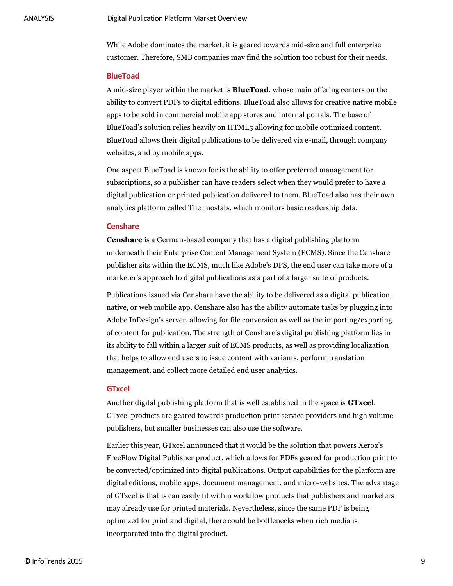While Adobe dominates the market, it is geared towards mid-size and full enterprise customer. Therefore, SMB companies may find the solution too robust for their needs.

#### <span id="page-8-0"></span>**BlueToad**

A mid-size player within the market is **BlueToad**, whose main offering centers on the ability to convert PDFs to digital editions. BlueToad also allows for creative native mobile apps to be sold in commercial mobile app stores and internal portals. The base of BlueToad's solution relies heavily on HTML5 allowing for mobile optimized content. BlueToad allows their digital publications to be delivered via e-mail, through company websites, and by mobile apps.

One aspect BlueToad is known for is the ability to offer preferred management for subscriptions, so a publisher can have readers select when they would prefer to have a digital publication or printed publication delivered to them. BlueToad also has their own analytics platform called Thermostats, which monitors basic readership data.

#### <span id="page-8-1"></span>**Censhare**

**Censhare** is a German-based company that has a digital publishing platform underneath their Enterprise Content Management System (ECMS). Since the Censhare publisher sits within the ECMS, much like Adobe's DPS, the end user can take more of a marketer's approach to digital publications as a part of a larger suite of products.

Publications issued via Censhare have the ability to be delivered as a digital publication, native, or web mobile app. Censhare also has the ability automate tasks by plugging into Adobe InDesign's server, allowing for file conversion as well as the importing/exporting of content for publication. The strength of Censhare's digital publishing platform lies in its ability to fall within a larger suit of ECMS products, as well as providing localization that helps to allow end users to issue content with variants, perform translation management, and collect more detailed end user analytics.

#### <span id="page-8-2"></span>**GTxcel**

Another digital publishing platform that is well established in the space is **GTxcel**. GTxcel products are geared towards production print service providers and high volume publishers, but smaller businesses can also use the software.

Earlier this year, GTxcel announced that it would be the solution that powers Xerox's FreeFlow Digital Publisher product, which allows for PDFs geared for production print to be converted/optimized into digital publications. Output capabilities for the platform are digital editions, mobile apps, document management, and micro-websites. The advantage of GTxcel is that is can easily fit within workflow products that publishers and marketers may already use for printed materials. Nevertheless, since the same PDF is being optimized for print and digital, there could be bottlenecks when rich media is incorporated into the digital product.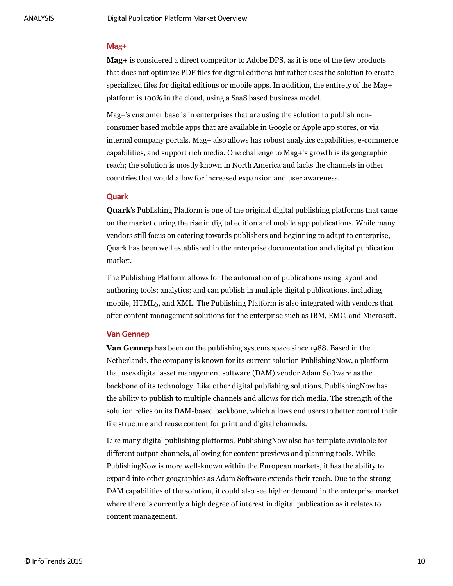#### <span id="page-9-0"></span>**Mag+**

**Mag+** is considered a direct competitor to Adobe DPS, as it is one of the few products that does not optimize PDF files for digital editions but rather uses the solution to create specialized files for digital editions or mobile apps. In addition, the entirety of the Mag+ platform is 100% in the cloud, using a SaaS based business model.

Mag+'s customer base is in enterprises that are using the solution to publish nonconsumer based mobile apps that are available in Google or Apple app stores, or via internal company portals. Mag+ also allows has robust analytics capabilities, e-commerce capabilities, and support rich media. One challenge to Mag+'s growth is its geographic reach; the solution is mostly known in North America and lacks the channels in other countries that would allow for increased expansion and user awareness.

#### <span id="page-9-1"></span>**Quark**

**Quark**'s Publishing Platform is one of the original digital publishing platforms that came on the market during the rise in digital edition and mobile app publications. While many vendors still focus on catering towards publishers and beginning to adapt to enterprise, Quark has been well established in the enterprise documentation and digital publication market.

The Publishing Platform allows for the automation of publications using layout and authoring tools; analytics; and can publish in multiple digital publications, including mobile, HTML5, and XML. The Publishing Platform is also integrated with vendors that offer content management solutions for the enterprise such as IBM, EMC, and Microsoft.

#### <span id="page-9-2"></span>**Van Gennep**

**Van Gennep** has been on the publishing systems space since 1988. Based in the Netherlands, the company is known for its current solution PublishingNow, a platform that uses digital asset management software (DAM) vendor Adam Software as the backbone of its technology. Like other digital publishing solutions, PublishingNow has the ability to publish to multiple channels and allows for rich media. The strength of the solution relies on its DAM-based backbone, which allows end users to better control their file structure and reuse content for print and digital channels.

Like many digital publishing platforms, PublishingNow also has template available for different output channels, allowing for content previews and planning tools. While PublishingNow is more well-known within the European markets, it has the ability to expand into other geographies as Adam Software extends their reach. Due to the strong DAM capabilities of the solution, it could also see higher demand in the enterprise market where there is currently a high degree of interest in digital publication as it relates to content management.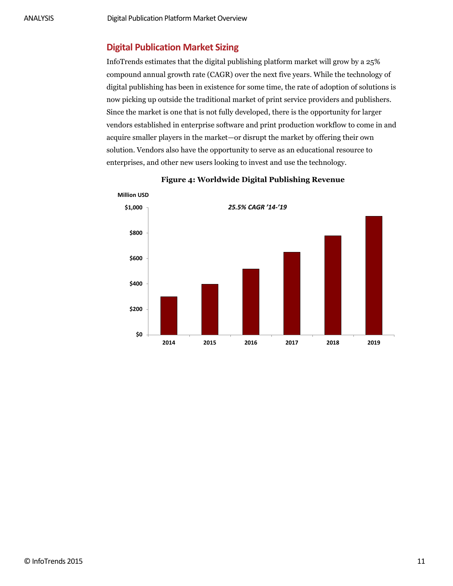#### <span id="page-10-0"></span>**Digital Publication Market Sizing**

InfoTrends estimates that the digital publishing platform market will grow by a 25% compound annual growth rate (CAGR) over the next five years. While the technology of digital publishing has been in existence for some time, the rate of adoption of solutions is now picking up outside the traditional market of print service providers and publishers. Since the market is one that is not fully developed, there is the opportunity for larger vendors established in enterprise software and print production workflow to come in and acquire smaller players in the market—or disrupt the market by offering their own solution. Vendors also have the opportunity to serve as an educational resource to enterprises, and other new users looking to invest and use the technology.

<span id="page-10-1"></span>

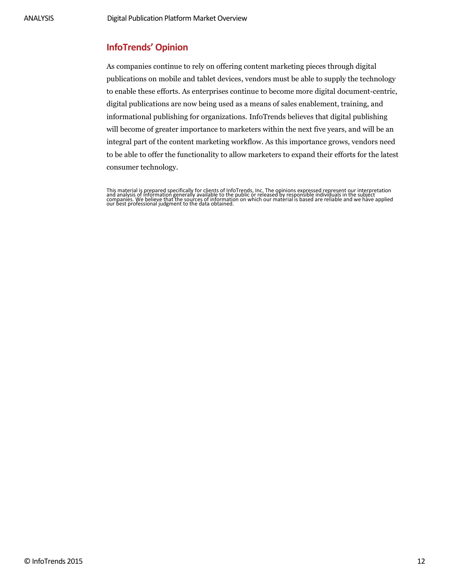#### <span id="page-11-0"></span>**InfoTrends' Opinion**

As companies continue to rely on offering content marketing pieces through digital publications on mobile and tablet devices, vendors must be able to supply the technology to enable these efforts. As enterprises continue to become more digital document-centric, digital publications are now being used as a means of sales enablement, training, and informational publishing for organizations. InfoTrends believes that digital publishing will become of greater importance to marketers within the next five years, and will be an integral part of the content marketing workflow. As this importance grows, vendors need to be able to offer the functionality to allow marketers to expand their efforts for the latest consumer technology.

This material is prepared specifically for clients of InfoTrends, Inc. The opinions expressed represent our interpretation<br>and analysis of information generally available to the public or released by responsible individual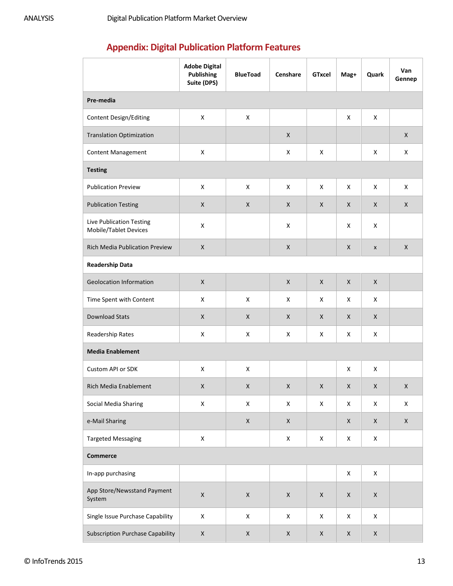## <span id="page-12-0"></span>**Appendix: Digital Publication Platform Features**

|                                                   | <b>Adobe Digital</b><br><b>Publishing</b><br>Suite (DPS) | <b>BlueToad</b>    | Censhare    | <b>GTxcel</b>      | Mag+ | Quark              | Van<br>Gennep |  |  |
|---------------------------------------------------|----------------------------------------------------------|--------------------|-------------|--------------------|------|--------------------|---------------|--|--|
| Pre-media                                         |                                                          |                    |             |                    |      |                    |               |  |  |
| <b>Content Design/Editing</b>                     | X                                                        | X                  |             |                    | X    | X                  |               |  |  |
| <b>Translation Optimization</b>                   |                                                          |                    | X           |                    |      |                    | $\mathsf{X}$  |  |  |
| Content Management                                | X                                                        |                    | X           | X                  |      | X                  | X             |  |  |
| <b>Testing</b>                                    |                                                          |                    |             |                    |      |                    |               |  |  |
| <b>Publication Preview</b>                        | X                                                        | X                  | X           | X                  | X    | X                  | X             |  |  |
| <b>Publication Testing</b>                        | X                                                        | X                  | X           | $\mathsf{X}$       | X    | X                  | $\mathsf{X}$  |  |  |
| Live Publication Testing<br>Mobile/Tablet Devices | X                                                        |                    | $\mathsf X$ |                    | X    | X                  |               |  |  |
| <b>Rich Media Publication Preview</b>             | $\mathsf{X}$                                             |                    | X           |                    | X    | $\pmb{\mathsf{x}}$ | $\mathsf{X}$  |  |  |
| <b>Readership Data</b>                            |                                                          |                    |             |                    |      |                    |               |  |  |
| <b>Geolocation Information</b>                    | X                                                        |                    | X           | $\mathsf{X}$       | X    | $\mathsf{X}$       |               |  |  |
| Time Spent with Content                           | X                                                        | X                  | X           | X                  | X    | X                  |               |  |  |
| <b>Download Stats</b>                             | X                                                        | X                  | X           | X                  | X    | X                  |               |  |  |
| Readership Rates                                  | X                                                        | X                  | X           | X                  | X    | X                  |               |  |  |
| <b>Media Enablement</b>                           |                                                          |                    |             |                    |      |                    |               |  |  |
| Custom API or SDK                                 | X                                                        | X                  |             |                    | X    | X                  |               |  |  |
| Rich Media Enablement                             | X                                                        | X                  | X           | $\mathsf X$        | X    | X                  | X             |  |  |
| Social Media Sharing                              | $\pmb{\mathsf{X}}$                                       | $\pmb{\mathsf{X}}$ | $\mathsf X$ | $\mathsf X$        | X    | X                  | X             |  |  |
| e-Mail Sharing                                    |                                                          | $\mathsf X$        | $\mathsf X$ |                    | X    | X                  | $\mathsf X$   |  |  |
| <b>Targeted Messaging</b>                         | $\pmb{\mathsf{X}}$                                       |                    | $\mathsf X$ | $\mathsf X$        | X    | X                  |               |  |  |
| <b>Commerce</b>                                   |                                                          |                    |             |                    |      |                    |               |  |  |
| In-app purchasing                                 |                                                          |                    |             |                    | X    | $\pmb{\mathsf{X}}$ |               |  |  |
| App Store/Newsstand Payment<br>System             | $\mathsf X$                                              | $\mathsf X$        | $\mathsf X$ | $\pmb{\mathsf{X}}$ | X    | $\mathsf X$        |               |  |  |
| Single Issue Purchase Capability                  | $\pmb{\mathsf{X}}$                                       | $\pmb{\mathsf{X}}$ | $\mathsf X$ | X                  | X    | X                  |               |  |  |
| <b>Subscription Purchase Capability</b>           | X                                                        | X                  | X           | X                  | X    | X                  |               |  |  |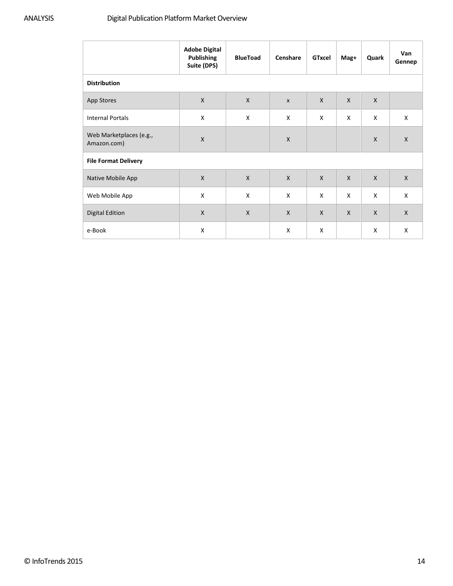|                                        | <b>Adobe Digital</b><br><b>Publishing</b><br>Suite (DPS) | <b>BlueToad</b> | Censhare     | <b>GTxcel</b>  | Mag+         | Quark        | Van<br>Gennep |  |  |
|----------------------------------------|----------------------------------------------------------|-----------------|--------------|----------------|--------------|--------------|---------------|--|--|
| <b>Distribution</b>                    |                                                          |                 |              |                |              |              |               |  |  |
| App Stores                             | $\mathsf{X}$                                             | $\mathsf{X}$    | $\mathsf{x}$ | $\mathsf{X}$   | $\mathsf{X}$ | $\mathsf{X}$ |               |  |  |
| <b>Internal Portals</b>                | X                                                        | X               | X            | X              | X            | X            | X             |  |  |
| Web Marketplaces (e.g.,<br>Amazon.com) | X                                                        |                 | X            |                |              | X            | $\mathsf{X}$  |  |  |
| <b>File Format Delivery</b>            |                                                          |                 |              |                |              |              |               |  |  |
| Native Mobile App                      | $\mathsf{X}$                                             | X               | $\mathsf{X}$ | $\pmb{\times}$ | $\mathsf{X}$ | $\mathsf{X}$ | $\mathsf{X}$  |  |  |
| Web Mobile App                         | X                                                        | X               | $\mathsf{x}$ | X              | X            | X            | $\mathsf{x}$  |  |  |
| <b>Digital Edition</b>                 | $\mathsf{X}$                                             | X               | $\mathsf{X}$ | $\mathsf{X}$   | $\mathsf{X}$ | $\mathsf{X}$ | $\mathsf{X}$  |  |  |
| e-Book                                 | X                                                        |                 | X            | X              |              | X            | X             |  |  |